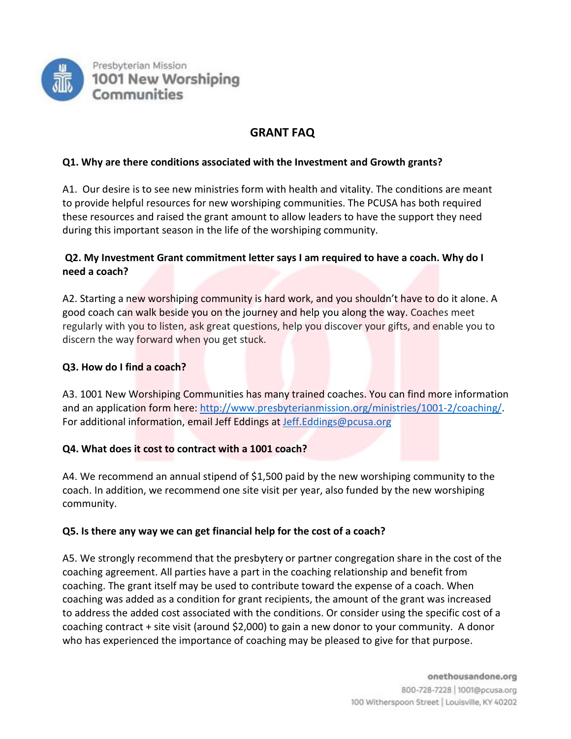

# **GRANT FAQ**

# **Q1. Why are there conditions associated with the Investment and Growth grants?**

A1. Our desire is to see new ministries form with health and vitality. The conditions are meant to provide helpful resources for new worshiping communities. The PCUSA has both required these resources and raised the grant amount to allow leaders to have the support they need during this important season in the life of the worshiping community.

# **Q2. My Investment Grant commitment letter says I am required to have a coach. Why do I need a coach?**

A2. Starting a new worshiping community is hard work, and you shouldn't have to do it alone. A good coach can walk beside you on the journey and help you along the way. Coaches meet regularly with you to listen, ask great questions, help you discover your gifts, and enable you to discern the way forward when you get stuck.

# **Q3. How do I find a coach?**

A3. 1001 New Worshiping Communities has many trained coaches. You can find more information and an application form here: [http://www.presbyterianmission.org/ministries/1001-2/coaching/.](http://www.presbyterianmission.org/ministries/1001-2/coaching/) For additional information, email Jeff Eddings at [Jeff.Eddings@pcusa.org](mailto:Jeff.Eddings@pcusa.org)

# **Q4. What does it cost to contract with a 1001 coach?**

A4. We recommend an annual stipend of \$1,500 paid by the new worshiping community to the coach. In addition, we recommend one site visit per year, also funded by the new worshiping community.

# **Q5. Is there any way we can get financial help for the cost of a coach?**

A5. We strongly recommend that the presbytery or partner congregation share in the cost of the coaching agreement. All parties have a part in the coaching relationship and benefit from coaching. The grant itself may be used to contribute toward the expense of a coach. When coaching was added as a condition for grant recipients, the amount of the grant was increased to address the added cost associated with the conditions. Or consider using the specific cost of a coaching contract + site visit (around \$2,000) to gain a new donor to your community. A donor who has experienced the importance of coaching may be pleased to give for that purpose.